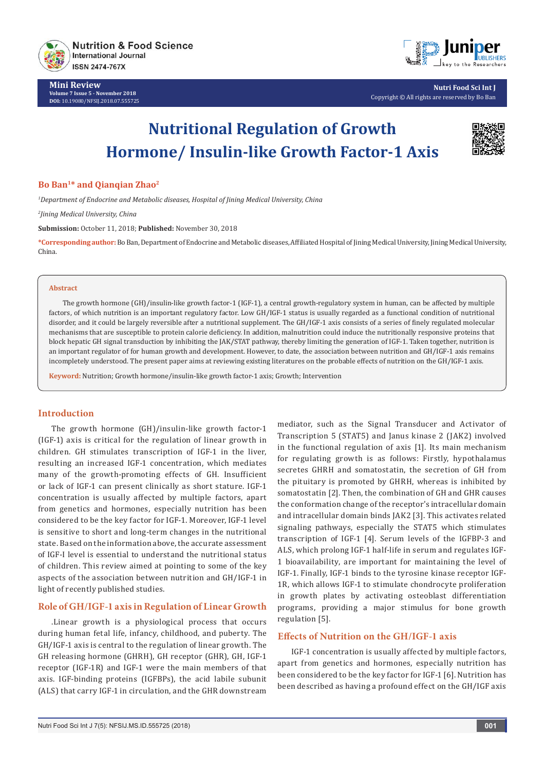

**Mini Review Volume 7 Issue 5 - November 2018 DOI:** [10.19080/NFSIJ.2018.07.555725](http://dx.doi.org/10.19080/NFSIJ.2018.07.555725)



**Nutri Food Sci Int J** Copyright © All rights are reserved by Bo Ban

# **Nutritional Regulation of Growth Hormone/ Insulin-like Growth Factor-1 Axis**



#### **Bo Ban1\* and Qianqian Zhao2**

*1 Department of Endocrine and Metabolic diseases, Hospital of Jining Medical University, China*

*2 Jining Medical University, China*

**Submission:** October 11, 2018; **Published:** November 30, 2018

**\*Corresponding author:**Bo Ban, Department of Endocrine and Metabolic diseases, Affiliated Hospital of Jining Medical University, Jining Medical University, China.

#### **Abstract**

The growth hormone (GH)/insulin-like growth factor-1 (IGF-1), a central growth-regulatory system in human, can be affected by multiple factors, of which nutrition is an important regulatory factor. Low GH/IGF-1 status is usually regarded as a functional condition of nutritional disorder, and it could be largely reversible after a nutritional supplement. The GH/IGF-1 axis consists of a series of finely regulated molecular mechanisms that are susceptible to protein calorie deficiency. In addition, malnutrition could induce the nutritionally responsive proteins that block hepatic GH signal transduction by inhibiting the JAK/STAT pathway, thereby limiting the generation of IGF-1. Taken together, nutrition is an important regulator of for human growth and development. However, to date, the association between nutrition and GH/IGF-1 axis remains incompletely understood. The present paper aims at reviewing existing literatures on the probable effects of nutrition on the GH/IGF-1 axis.

**Keyword:** Nutrition; Growth hormone/insulin-like growth factor-1 axis; Growth; Intervention

#### **Introduction**

The growth hormone (GH)/insulin-like growth factor-1 (IGF-1) axis is critical for the regulation of linear growth in children. GH stimulates transcription of IGF-1 in the liver, resulting an increased IGF-1 concentration, which mediates many of the growth-promoting effects of GH. Insufficient or lack of IGF-1 can present clinically as short stature. IGF-1 concentration is usually affected by multiple factors, apart from genetics and hormones, especially nutrition has been considered to be the key factor for IGF-1. Moreover, IGF-1 level is sensitive to short and long-term changes in the nutritional state. Based on the information above, the accurate assessment of IGF-I level is essential to understand the nutritional status of children. This review aimed at pointing to some of the key aspects of the association between nutrition and GH/IGF-1 in light of recently published studies.

### **Role of GH/IGF-1 axis in Regulation of Linear Growth**

.Linear growth is a physiological process that occurs during human fetal life, infancy, childhood, and puberty. The GH/IGF-1 axis is central to the regulation of linear growth. The GH releasing hormone (GHRH), GH receptor (GHR), GH, IGF-1 receptor (IGF-1R) and IGF-1 were the main members of that axis. IGF-binding proteins (IGFBPs), the acid labile subunit (ALS) that carry IGF-1 in circulation, and the GHR downstream

mediator, such as the Signal Transducer and Activator of Transcription 5 (STAT5) and Janus kinase 2 (JAK2) involved in the functional regulation of axis [1]. Its main mechanism for regulating growth is as follows: Firstly, hypothalamus secretes GHRH and somatostatin, the secretion of GH from the pituitary is promoted by GHRH, whereas is inhibited by somatostatin [2]. Then, the combination of GH and GHR causes the conformation change of the receptor's intracellular domain and intracellular domain binds JAK2 [3]. This activates related signaling pathways, especially the STAT5 which stimulates transcription of IGF-1 [4]. Serum levels of the IGFBP-3 and ALS, which prolong IGF-1 half-life in serum and regulates IGF-1 bioavailability, are important for maintaining the level of IGF-1. Finally, IGF-1 binds to the tyrosine kinase receptor IGF-1R, which allows IGF-1 to stimulate chondrocyte proliferation in growth plates by activating osteoblast differentiation programs, providing a major stimulus for bone growth regulation [5].

## **Effects of Nutrition on the GH/IGF-1 axis**

IGF-1 concentration is usually affected by multiple factors, apart from genetics and hormones, especially nutrition has been considered to be the key factor for IGF-1 [6]. Nutrition has been described as having a profound effect on the GH/IGF axis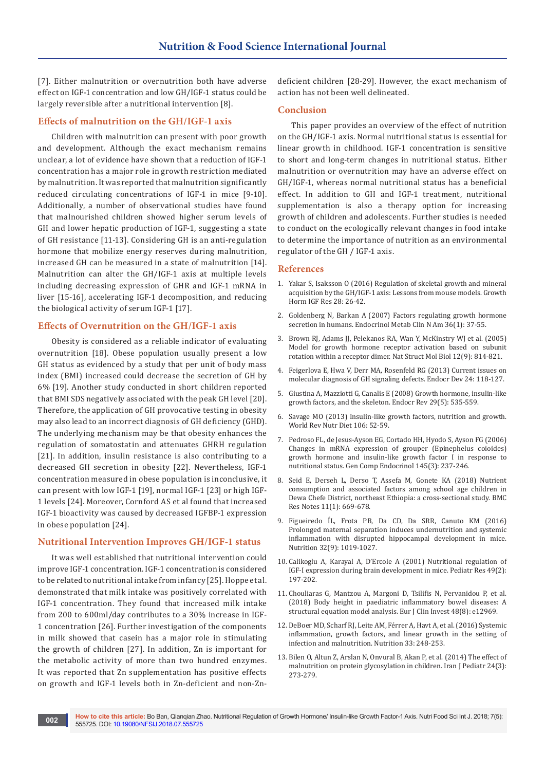[7]. Either malnutrition or overnutrition both have adverse effect on IGF-1 concentration and low GH/IGF-1 status could be largely reversible after a nutritional intervention [8].

#### **Effects of malnutrition on the GH/IGF-1 axis**

Children with malnutrition can present with poor growth and development. Although the exact mechanism remains unclear, a lot of evidence have shown that a reduction of IGF-1 concentration has a major role in growth restriction mediated by malnutrition. It was reported that malnutrition significantly reduced circulating concentrations of IGF-1 in mice [9-10]. Additionally, a number of observational studies have found that malnourished children showed higher serum levels of GH and lower hepatic production of IGF-1, suggesting a state of GH resistance [11-13]. Considering GH is an anti-regulation hormone that mobilize energy reserves during malnutrition, increased GH can be measured in a state of malnutrition [14]. Malnutrition can alter the GH/IGF-1 axis at multiple levels including decreasing expression of GHR and IGF-1 mRNA in liver [15-16], accelerating IGF-1 decomposition, and reducing the biological activity of serum IGF-1 [17].

#### **Effects of Overnutrition on the GH/IGF-1 axis**

Obesity is considered as a reliable indicator of evaluating overnutrition [18]. Obese population usually present a low GH status as evidenced by a study that per unit of body mass index (BMI) increased could decrease the secretion of GH by 6% [19]. Another study conducted in short children reported that BMI SDS negatively associated with the peak GH level [20]. Therefore, the application of GH provocative testing in obesity may also lead to an incorrect diagnosis of GH deficiency (GHD). The underlying mechanism may be that obesity enhances the regulation of somatostatin and attenuates GHRH regulation [21]. In addition, insulin resistance is also contributing to a decreased GH secretion in obesity [22]. Nevertheless, IGF-1 concentration measured in obese population is inconclusive, it can present with low IGF-1 [19], normal IGF-1 [23] or high IGF-1 levels [24]. Moreover, Cornford AS et al found that increased IGF-1 bioactivity was caused by decreased IGFBP-1 expression in obese population [24].

#### **Nutritional Intervention Improves GH/IGF-1 status**

It was well established that nutritional intervention could improve IGF-1 concentration. IGF-1 concentration is considered to be related to nutritional intake from infancy [25]. Hoppe et al. demonstrated that milk intake was positively correlated with IGF-1 concentration. They found that increased milk intake from 200 to 600ml/day contributes to a 30% increase in IGF-1 concentration [26]. Further investigation of the components in milk showed that casein has a major role in stimulating the growth of children [27]. In addition, Zn is important for the metabolic activity of more than two hundred enzymes. It was reported that Zn supplementation has positive effects on growth and IGF-1 levels both in Zn-deficient and non-Zndeficient children [28-29]. However, the exact mechanism of action has not been well delineated.

#### **Conclusion**

This paper provides an overview of the effect of nutrition on the GH/IGF-1 axis. Normal nutritional status is essential for linear growth in childhood. IGF-1 concentration is sensitive to short and long-term changes in nutritional status. Either malnutrition or overnutrition may have an adverse effect on GH/IGF-1, whereas normal nutritional status has a beneficial effect. In addition to GH and IGF-1 treatment, nutritional supplementation is also a therapy option for increasing growth of children and adolescents. Further studies is needed to conduct on the ecologically relevant changes in food intake to determine the importance of nutrition as an environmental regulator of the GH / IGF-1 axis.

#### **References**

- 1. [Yakar S, Isaksson O \(2016\) Regulation of skeletal growth and mineral](https://www.ncbi.nlm.nih.gov/pubmed/26432542)  [acquisition by the GH/IGF-1 axis: Lessons from mouse models. Growth](https://www.ncbi.nlm.nih.gov/pubmed/26432542)  [Horm IGF Res 28: 26-42.](https://www.ncbi.nlm.nih.gov/pubmed/26432542)
- 2. [Goldenberg N, Barkan A \(2007\) Factors regulating growth hormone](https://www.ncbi.nlm.nih.gov/pubmed/17336733)  [secretion in humans. Endocrinol Metab Clin N Am 36\(1\): 37-55.](https://www.ncbi.nlm.nih.gov/pubmed/17336733)
- 3. [Brown RJ, Adams JJ, Pelekanos RA, Wan Y, McKinstry WJ et al. \(2005\)](https://www.ncbi.nlm.nih.gov/pubmed/16116438)  [Model for growth hormone receptor activation based on subunit](https://www.ncbi.nlm.nih.gov/pubmed/16116438)  [rotation within a receptor dimer. Nat Struct Mol Biol 12\(9\): 814-821.](https://www.ncbi.nlm.nih.gov/pubmed/16116438)
- 4. [Feigerlova E, Hwa V, Derr MA, Rosenfeld RG \(2013\) Current issues on](https://www.ncbi.nlm.nih.gov/pubmed/23392100)  [molecular diagnosis of GH signaling defects. Endocr Dev 24: 118-127.](https://www.ncbi.nlm.nih.gov/pubmed/23392100)
- 5. [Giustina A, Mazziotti G, Canalis E \(2008\) Growth hormone, insulin-like](https://www.ncbi.nlm.nih.gov/pubmed/18436706)  [growth factors, and the skeleton. Endocr Rev 29\(5\): 535-559.](https://www.ncbi.nlm.nih.gov/pubmed/18436706)
- 6. [Savage MO \(2013\) Insulin-like growth factors, nutrition and growth.](https://www.ncbi.nlm.nih.gov/pubmed/23428681)  [World Rev Nutr Diet 106: 52-59.](https://www.ncbi.nlm.nih.gov/pubmed/23428681)
- 7. [Pedroso FL, de Jesus-Ayson EG, Cortado HH, Hyodo S, Ayson FG \(2006\)](https://www.ncbi.nlm.nih.gov/pubmed/16243324)  [Changes in mRNA expression of grouper \(Epinephelus coioides\)](https://www.ncbi.nlm.nih.gov/pubmed/16243324)  [growth hormone and insulin-like growth factor I in response to](https://www.ncbi.nlm.nih.gov/pubmed/16243324)  [nutritional status. Gen Comp Endocrinol 145\(3\): 237-246.](https://www.ncbi.nlm.nih.gov/pubmed/16243324)
- 8. [Seid E, Derseh L, Derso T, Assefa M, Gonete KA \(2018\) Nutrient](https://www.ncbi.nlm.nih.gov/pubmed/30223871)  [consumption and associated factors among school age children in](https://www.ncbi.nlm.nih.gov/pubmed/30223871)  [Dewa Chefe District, northeast Ethiopia: a cross-sectional study. BMC](https://www.ncbi.nlm.nih.gov/pubmed/30223871)  [Res Notes 11\(1\): 669-678.](https://www.ncbi.nlm.nih.gov/pubmed/30223871)
- 9. [Figueiredo ÍL, Frota PB, Da CD, Da SRR, Canuto KM \(2016\)](https://www.ncbi.nlm.nih.gov/pubmed/27157468/)  [Prolonged maternal separation induces undernutrition and systemic](https://www.ncbi.nlm.nih.gov/pubmed/27157468/)  [inflammation with disrupted hippocampal development in mice.](https://www.ncbi.nlm.nih.gov/pubmed/27157468/)  [Nutrition 32\(9\): 1019-1027.](https://www.ncbi.nlm.nih.gov/pubmed/27157468/)
- 10. [Calikoglu A, Karayal A, D'Ercole A \(2001\) Nutritional regulation of](https://www.ncbi.nlm.nih.gov/pubmed/11158513.)  [IGF-I expression during brain development in mice. Pediatr Res 49\(2\):](https://www.ncbi.nlm.nih.gov/pubmed/11158513.)  [197-202.](https://www.ncbi.nlm.nih.gov/pubmed/11158513.)
- 11. [Chouliaras G, Mantzou A, Margoni D, Tsilifis N, Pervanidou P, et al.](https://www.ncbi.nlm.nih.gov/pubmed/29893990)  [\(2018\) Body height in paediatric inflammatory bowel diseases: A](https://www.ncbi.nlm.nih.gov/pubmed/29893990)  [structural equation model analysis. Eur J Clin Invest 48\(8\): e12969.](https://www.ncbi.nlm.nih.gov/pubmed/29893990)
- 12. [DeBoer MD, Scharf RJ, Leite AM, Férrer A, Havt A, et al. \(2016\) Systemic](https://www.ncbi.nlm.nih.gov/pubmed/27712965)  [inflammation, growth factors, and linear growth in the setting of](https://www.ncbi.nlm.nih.gov/pubmed/27712965)  [infection and malnutrition. Nutrition 33: 248-253.](https://www.ncbi.nlm.nih.gov/pubmed/27712965)
- 13. [Bilen O, Altun Z, Arslan N, Onvural B, Akan P, et al. \(2014\) The effect of](https://www.ncbi.nlm.nih.gov/pubmed/25562020)  [malnutrition on protein glycosylation in children. Iran J Pediatr 24\(3\):](https://www.ncbi.nlm.nih.gov/pubmed/25562020)  [273-279.](https://www.ncbi.nlm.nih.gov/pubmed/25562020)